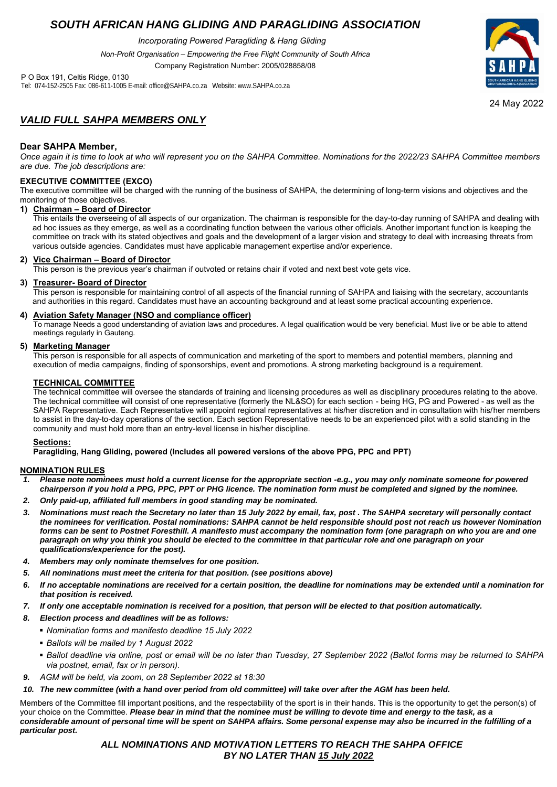## *SOUTH AFRICAN HANG GLIDING AND PARAGLIDING ASSOCIATION*

*Incorporating Powered Paragliding & Hang Gliding*

*Non-Profit Organisation – Empowering the Free Flight Community of South Africa*

Company Registration Number: 2005/028858/08

P O Box 191, Celtis Ridge, 0130 Tel: 074-152-2505 Fax: 086-611-1005 E-mail: office@SAHPA.co.za Website: www.SAHPA.co.za



24 May 2022

## *VALID FULL SAHPA MEMBERS ONLY*

#### **Dear SAHPA Member,**

*Once again it is time to look at who will represent you on the SAHPA Committee. Nominations for the 2022/23 SAHPA Committee members are due. The job descriptions are:*

#### **EXECUTIVE COMMITTEE (EXCO)**

The executive committee will be charged with the running of the business of SAHPA, the determining of long-term visions and objectives and the monitoring of those objectives.

#### **1) Chairman – Board of Director**

This entails the overseeing of all aspects of our organization. The chairman is responsible for the day-to-day running of SAHPA and dealing with ad hoc issues as they emerge, as well as a coordinating function between the various other officials. Another important function is keeping the committee on track with its stated objectives and goals and the development of a larger vision and strategy to deal with increasing threats from various outside agencies. Candidates must have applicable management expertise and/or experience.

#### **2) Vice Chairman – Board of Director**

This person is the previous year's chairman if outvoted or retains chair if voted and next best vote gets vice.

#### **3) Treasurer- Board of Director**

This person is responsible for maintaining control of all aspects of the financial running of SAHPA and liaising with the secretary, accountants and authorities in this regard. Candidates must have an accounting background and at least some practical accounting experience.

#### **4) Aviation Safety Manager (NSO and compliance officer)**

To manage Needs a good understanding of aviation laws and procedures. A legal qualification would be very beneficial. Must live or be able to attend meetings regularly in Gauteng.

#### **5) Marketing Manager**

This person is responsible for all aspects of communication and marketing of the sport to members and potential members, planning and execution of media campaigns, finding of sponsorships, event and promotions. A strong marketing background is a requirement.

#### **TECHNICAL COMMITTEE**

The technical committee will oversee the standards of training and licensing procedures as well as disciplinary procedures relating to the above. The technical committee will consist of one representative (formerly the NL&SO) for each section - being HG, PG and Powered - as well as the SAHPA Representative. Each Representative will appoint regional representatives at his/her discretion and in consultation with his/her members to assist in the day-to-day operations of the section. Each section Representative needs to be an experienced pilot with a solid standing in the community and must hold more than an entry-level license in his/her discipline.

#### **Sections:**

**Paragliding, Hang Gliding, powered (Includes all powered versions of the above PPG, PPC and PPT)**

#### **NOMINATION RULES**

- *1. Please note nominees must hold a current license for the appropriate section -e.g., you may only nominate someone for powered chairperson if you hold a PPG, PPC, PPT or PHG licence. The nomination form must be completed and signed by the nominee.*
- *2. Only paid-up, affiliated full members in good standing may be nominated.*
- *3. Nominations must reach the Secretary no later than 15 July 2022 by email, fax, post . The SAHPA secretary will personally contact the nominees for verification. Postal nominations: SAHPA cannot be held responsible should post not reach us however Nomination forms can be sent to Postnet Foresthill. A manifesto must accompany the nomination form (one paragraph on who you are and one paragraph on why you think you should be elected to the committee in that particular role and one paragraph on your qualifications/experience for the post).*
- *4. Members may only nominate themselves for one position.*
- *5. All nominations must meet the criteria for that position. (see positions above)*
- *6. If no acceptable nominations are received for a certain position, the deadline for nominations may be extended until a nomination for that position is received.*
- *7. If only one acceptable nomination is received for a position, that person will be elected to that position automatically.*
- *8. Election process and deadlines will be as follows:* 
	- *Nomination forms and manifesto deadline 15 July 2022*
	- *Ballots will be mailed by 1 August 2022*
	- *Ballot deadline via online, post or email will be no later than Tuesday, 27 September 2022 (Ballot forms may be returned to SAHPA via postnet, email, fax or in person).*
- *9. AGM will be held, via zoom, on 28 September 2022 at 18:30*

#### 10. The new committee (with a hand over period from old committee) will take over after the AGM has been held.

Members of the Committee fill important positions, and the respectability of the sport is in their hands. This is the opportunity to get the person(s) of your choice on the Committee. *Please bear in mind that the nominee must be willing to devote time and energy to the task, as a considerable amount of personal time will be spent on SAHPA affairs. Some personal expense may also be incurred in the fulfilling of a particular post.*

### *ALL NOMINATIONS AND MOTIVATION LETTERS TO REACH THE SAHPA OFFICE BY NO LATER THAN 15 July 2022*